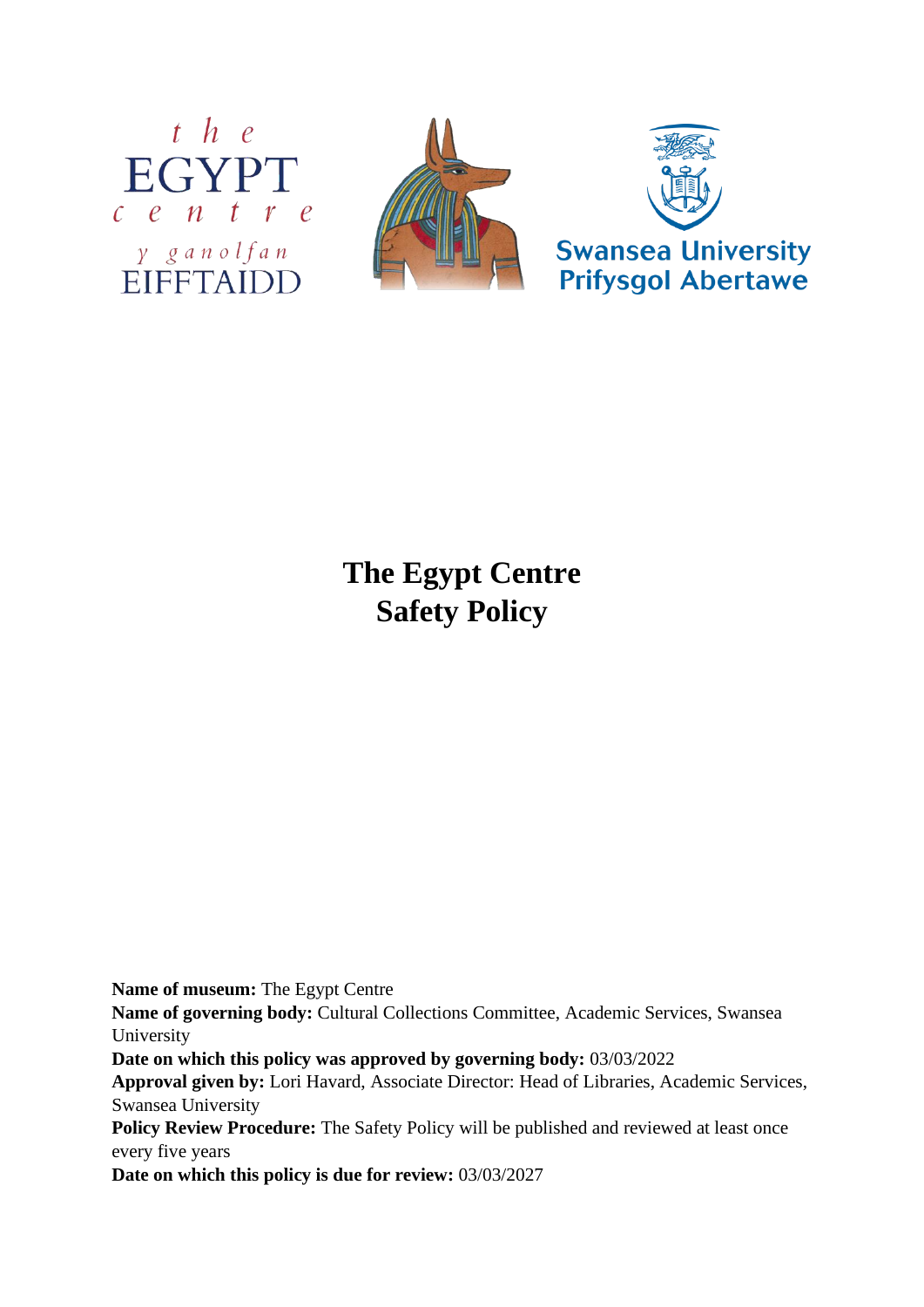



**The Egypt Centre Safety Policy**

**Name of museum:** The Egypt Centre

**Name of governing body:** Cultural Collections Committee, Academic Services, Swansea University

**Date on which this policy was approved by governing body:** 03/03/2022

**Approval given by:** Lori Havard, Associate Director: Head of Libraries, Academic Services, Swansea University

**Policy Review Procedure:** The Safety Policy will be published and reviewed at least once every five years

**Date on which this policy is due for review:** 03/03/2027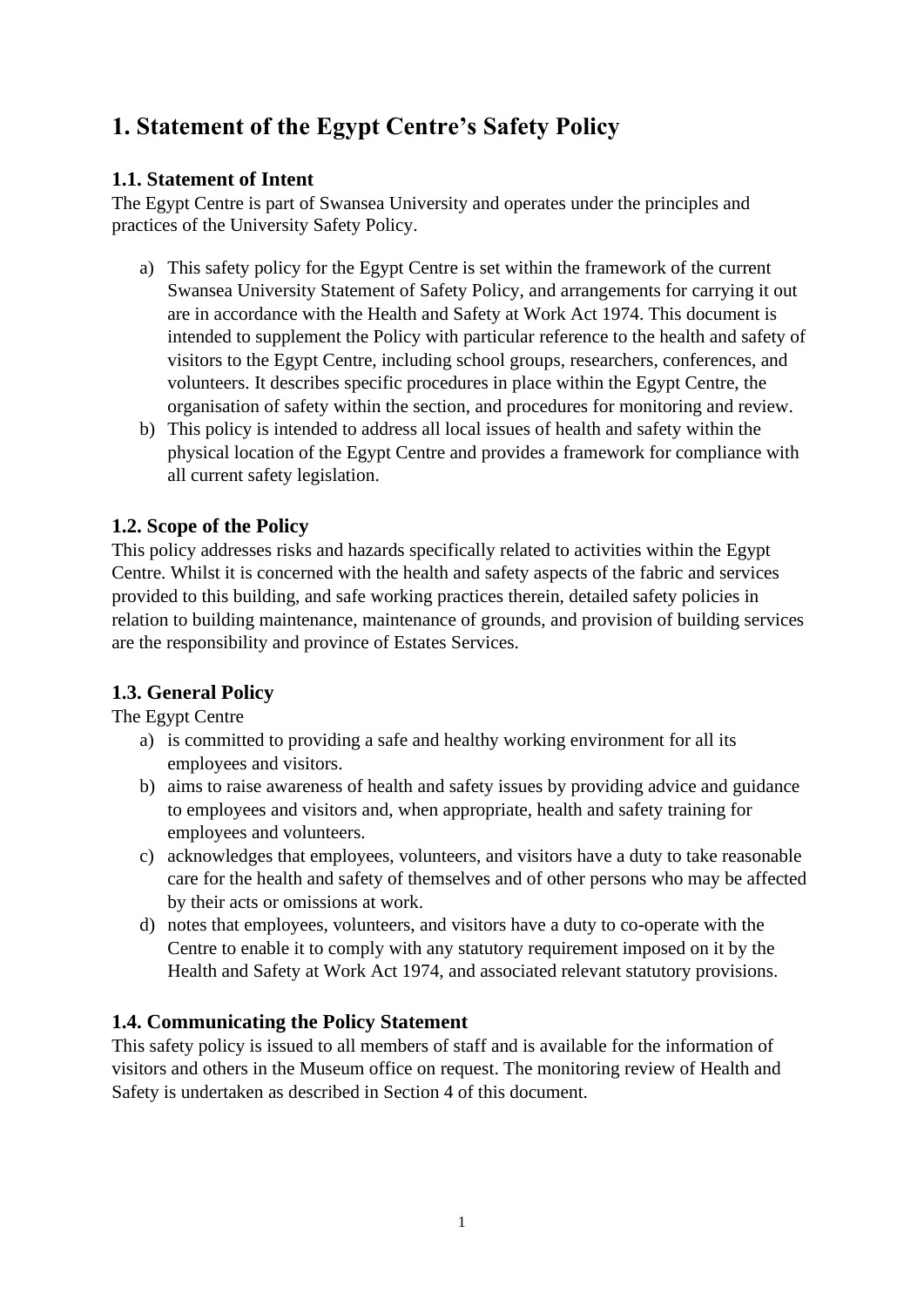# **1. Statement of the Egypt Centre's Safety Policy**

# **1.1. Statement of Intent**

The Egypt Centre is part of Swansea University and operates under the principles and practices of the University Safety Policy.

- a) This safety policy for the Egypt Centre is set within the framework of the current Swansea University Statement of Safety Policy, and arrangements for carrying it out are in accordance with the Health and Safety at Work Act 1974. This document is intended to supplement the Policy with particular reference to the health and safety of visitors to the Egypt Centre, including school groups, researchers, conferences, and volunteers. It describes specific procedures in place within the Egypt Centre, the organisation of safety within the section, and procedures for monitoring and review.
- b) This policy is intended to address all local issues of health and safety within the physical location of the Egypt Centre and provides a framework for compliance with all current safety legislation.

# **1.2. Scope of the Policy**

This policy addresses risks and hazards specifically related to activities within the Egypt Centre. Whilst it is concerned with the health and safety aspects of the fabric and services provided to this building, and safe working practices therein, detailed safety policies in relation to building maintenance, maintenance of grounds, and provision of building services are the responsibility and province of Estates Services.

# **1.3. General Policy**

The Egypt Centre

- a) is committed to providing a safe and healthy working environment for all its employees and visitors.
- b) aims to raise awareness of health and safety issues by providing advice and guidance to employees and visitors and, when appropriate, health and safety training for employees and volunteers.
- c) acknowledges that employees, volunteers, and visitors have a duty to take reasonable care for the health and safety of themselves and of other persons who may be affected by their acts or omissions at work.
- d) notes that employees, volunteers, and visitors have a duty to co-operate with the Centre to enable it to comply with any statutory requirement imposed on it by the Health and Safety at Work Act 1974, and associated relevant statutory provisions.

# **1.4. Communicating the Policy Statement**

This safety policy is issued to all members of staff and is available for the information of visitors and others in the Museum office on request. The monitoring review of Health and Safety is undertaken as described in Section 4 of this document.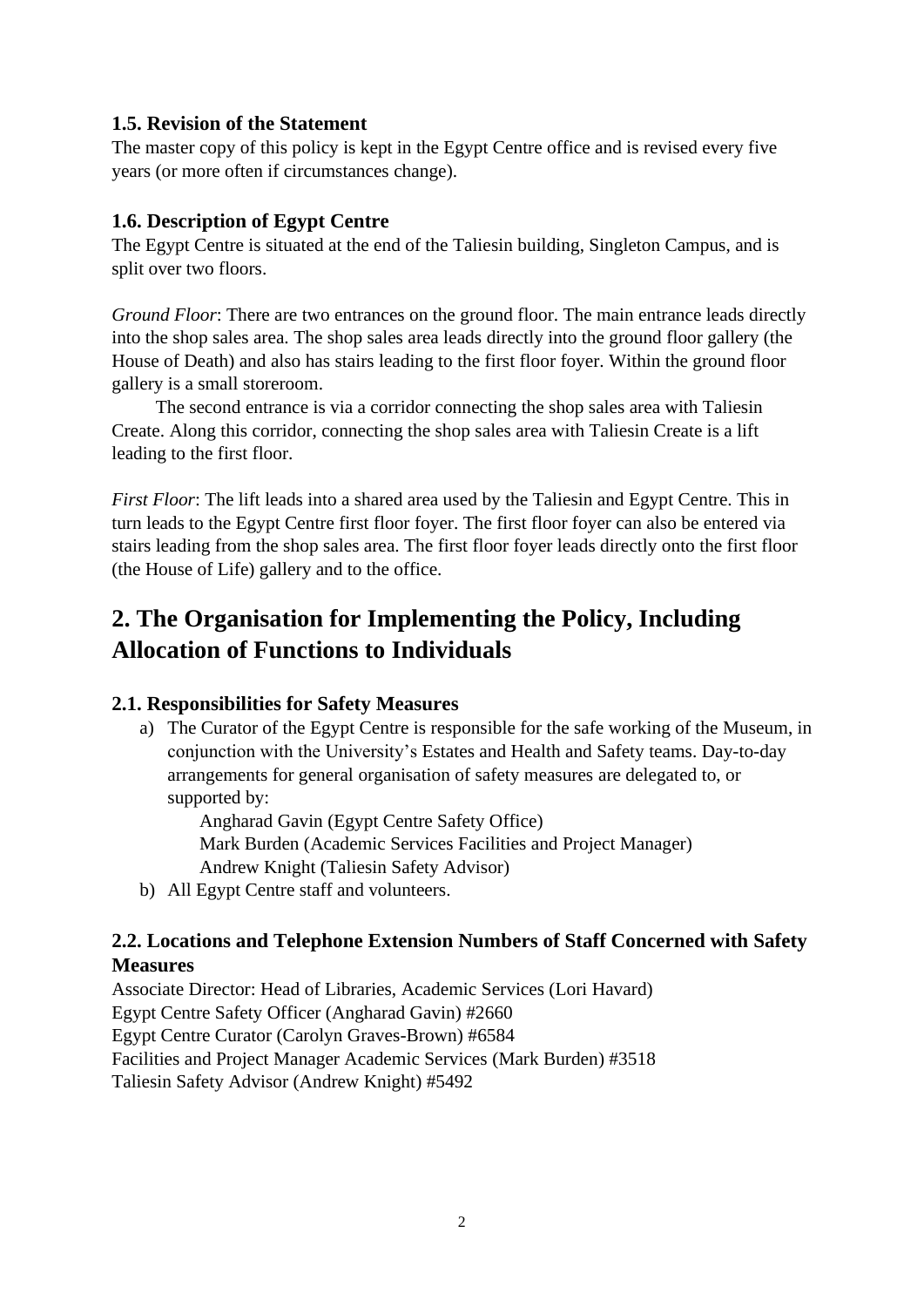# **1.5. Revision of the Statement**

The master copy of this policy is kept in the Egypt Centre office and is revised every five years (or more often if circumstances change).

# **1.6. Description of Egypt Centre**

The Egypt Centre is situated at the end of the Taliesin building, Singleton Campus, and is split over two floors.

*Ground Floor*: There are two entrances on the ground floor. The main entrance leads directly into the shop sales area. The shop sales area leads directly into the ground floor gallery (the House of Death) and also has stairs leading to the first floor foyer. Within the ground floor gallery is a small storeroom.

The second entrance is via a corridor connecting the shop sales area with Taliesin Create. Along this corridor, connecting the shop sales area with Taliesin Create is a lift leading to the first floor.

*First Floor*: The lift leads into a shared area used by the Taliesin and Egypt Centre. This in turn leads to the Egypt Centre first floor foyer. The first floor foyer can also be entered via stairs leading from the shop sales area. The first floor foyer leads directly onto the first floor (the House of Life) gallery and to the office.

# **2. The Organisation for Implementing the Policy, Including Allocation of Functions to Individuals**

# **2.1. Responsibilities for Safety Measures**

a) The Curator of the Egypt Centre is responsible for the safe working of the Museum, in conjunction with the University's Estates and Health and Safety teams. Day-to-day arrangements for general organisation of safety measures are delegated to, or supported by:

Angharad Gavin (Egypt Centre Safety Office) Mark Burden (Academic Services Facilities and Project Manager) Andrew Knight (Taliesin Safety Advisor)

b) All Egypt Centre staff and volunteers.

# **2.2. Locations and Telephone Extension Numbers of Staff Concerned with Safety Measures**

Associate Director: Head of Libraries, Academic Services (Lori Havard) Egypt Centre Safety Officer (Angharad Gavin) #2660 Egypt Centre Curator (Carolyn Graves-Brown) #6584 Facilities and Project Manager Academic Services (Mark Burden) #3518 Taliesin Safety Advisor (Andrew Knight) #5492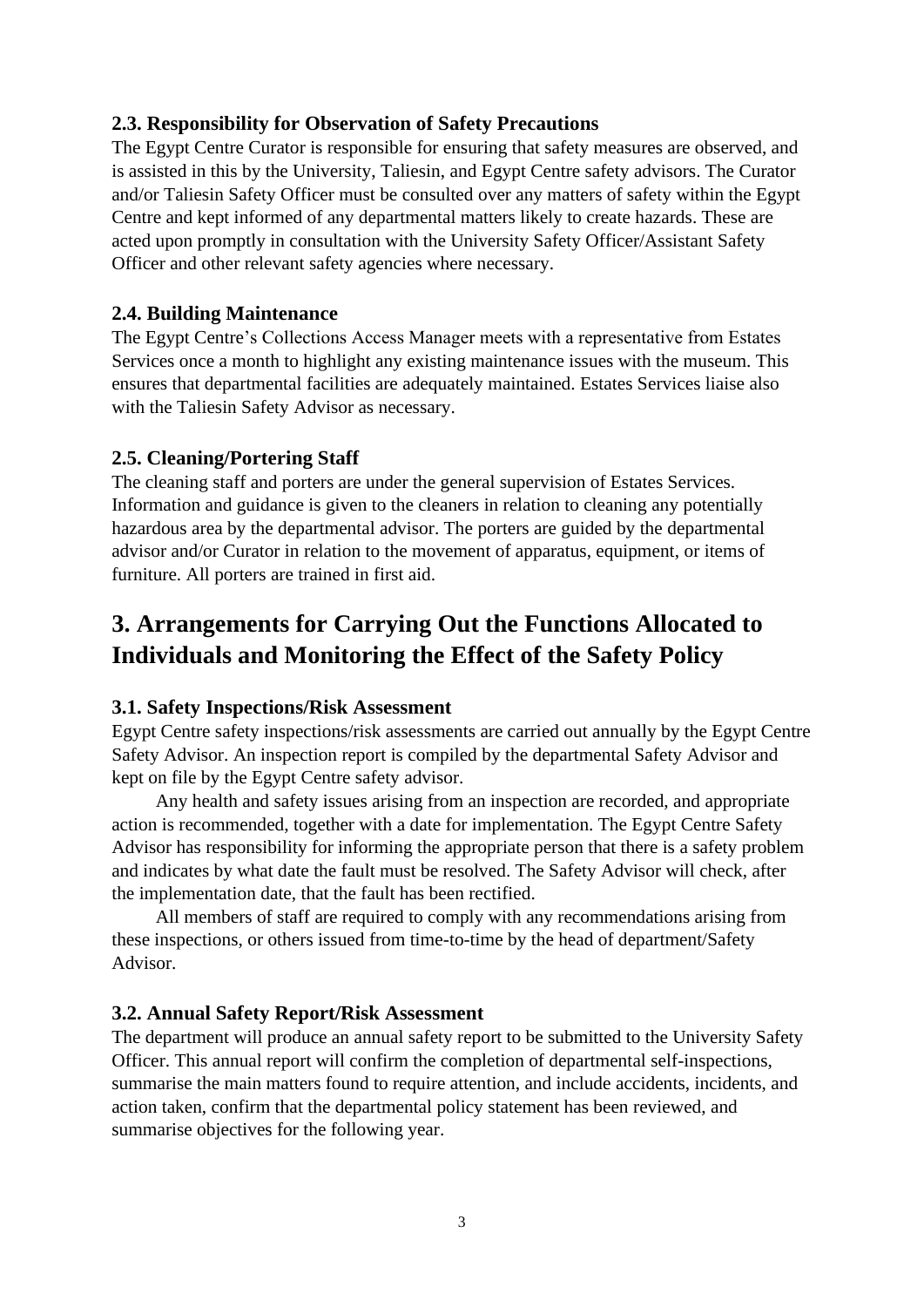# **2.3. Responsibility for Observation of Safety Precautions**

The Egypt Centre Curator is responsible for ensuring that safety measures are observed, and is assisted in this by the University, Taliesin, and Egypt Centre safety advisors. The Curator and/or Taliesin Safety Officer must be consulted over any matters of safety within the Egypt Centre and kept informed of any departmental matters likely to create hazards. These are acted upon promptly in consultation with the University Safety Officer/Assistant Safety Officer and other relevant safety agencies where necessary.

# **2.4. Building Maintenance**

The Egypt Centre's Collections Access Manager meets with a representative from Estates Services once a month to highlight any existing maintenance issues with the museum. This ensures that departmental facilities are adequately maintained. Estates Services liaise also with the Taliesin Safety Advisor as necessary.

# **2.5. Cleaning/Portering Staff**

The cleaning staff and porters are under the general supervision of Estates Services. Information and guidance is given to the cleaners in relation to cleaning any potentially hazardous area by the departmental advisor. The porters are guided by the departmental advisor and/or Curator in relation to the movement of apparatus, equipment, or items of furniture. All porters are trained in first aid.

# **3. Arrangements for Carrying Out the Functions Allocated to Individuals and Monitoring the Effect of the Safety Policy**

### **3.1. Safety Inspections/Risk Assessment**

Egypt Centre safety inspections/risk assessments are carried out annually by the Egypt Centre Safety Advisor. An inspection report is compiled by the departmental Safety Advisor and kept on file by the Egypt Centre safety advisor.

Any health and safety issues arising from an inspection are recorded, and appropriate action is recommended, together with a date for implementation. The Egypt Centre Safety Advisor has responsibility for informing the appropriate person that there is a safety problem and indicates by what date the fault must be resolved. The Safety Advisor will check, after the implementation date, that the fault has been rectified.

All members of staff are required to comply with any recommendations arising from these inspections, or others issued from time-to-time by the head of department/Safety Advisor.

### **3.2. Annual Safety Report/Risk Assessment**

The department will produce an annual safety report to be submitted to the University Safety Officer. This annual report will confirm the completion of departmental self-inspections, summarise the main matters found to require attention, and include accidents, incidents, and action taken, confirm that the departmental policy statement has been reviewed, and summarise objectives for the following year.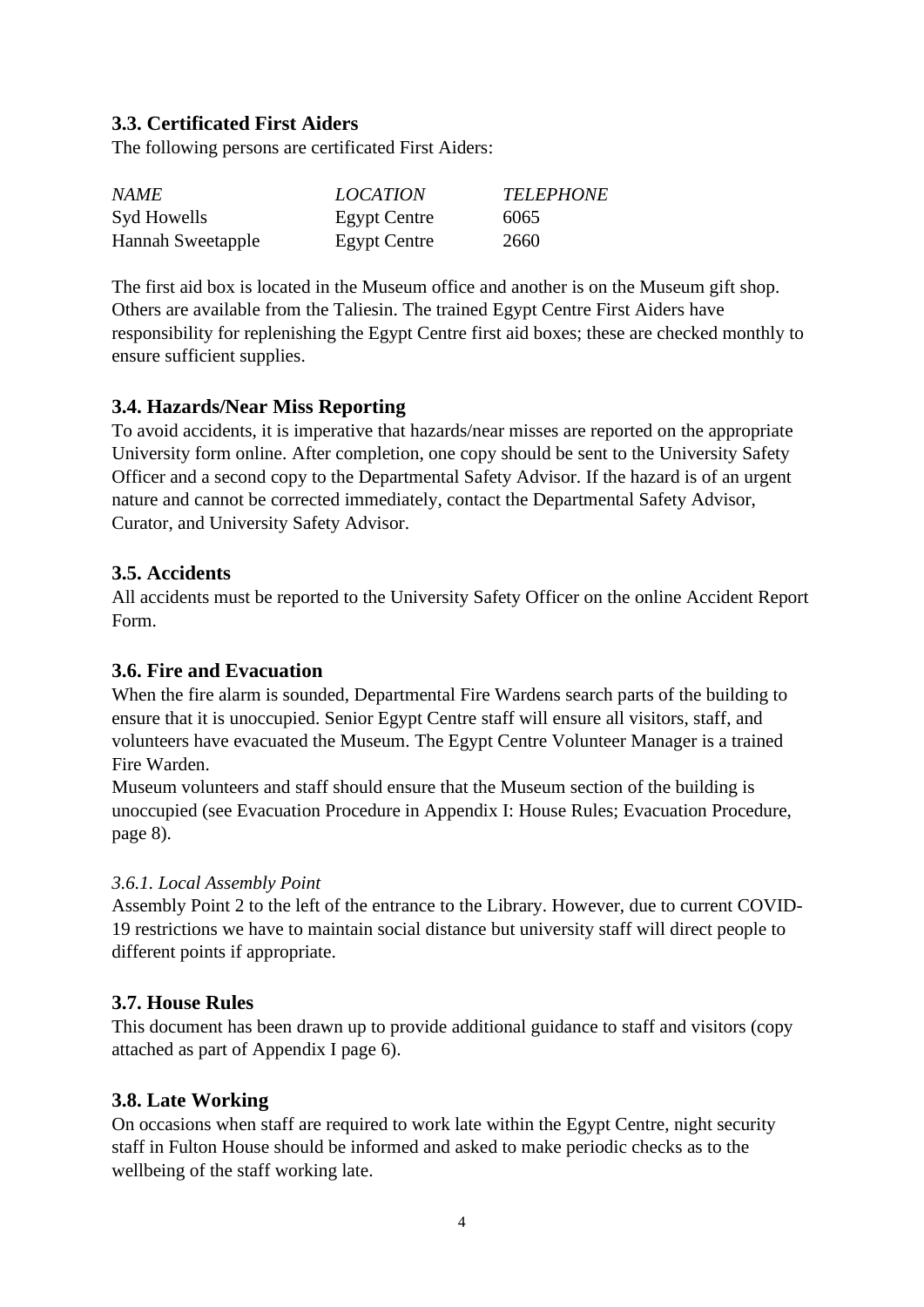# **3.3. Certificated First Aiders**

The following persons are certificated First Aiders:

| <i>NAME</i>              | <b>LOCATION</b>     | <b>TELEPHONE</b> |
|--------------------------|---------------------|------------------|
| Syd Howells              | <b>Egypt Centre</b> | 6065             |
| <b>Hannah Sweetapple</b> | <b>Egypt Centre</b> | 2660             |

The first aid box is located in the Museum office and another is on the Museum gift shop. Others are available from the Taliesin. The trained Egypt Centre First Aiders have responsibility for replenishing the Egypt Centre first aid boxes; these are checked monthly to ensure sufficient supplies.

# **3.4. Hazards/Near Miss Reporting**

To avoid accidents, it is imperative that hazards/near misses are reported on the appropriate University form online. After completion, one copy should be sent to the University Safety Officer and a second copy to the Departmental Safety Advisor. If the hazard is of an urgent nature and cannot be corrected immediately, contact the Departmental Safety Advisor, Curator, and University Safety Advisor.

### **3.5. Accidents**

All accidents must be reported to the University Safety Officer on the online Accident Report Form.

### **3.6. Fire and Evacuation**

When the fire alarm is sounded, Departmental Fire Wardens search parts of the building to ensure that it is unoccupied. Senior Egypt Centre staff will ensure all visitors, staff, and volunteers have evacuated the Museum. The Egypt Centre Volunteer Manager is a trained Fire Warden.

Museum volunteers and staff should ensure that the Museum section of the building is unoccupied (see Evacuation Procedure in Appendix I: House Rules; Evacuation Procedure, page 8).

### *3.6.1. Local Assembly Point*

Assembly Point 2 to the left of the entrance to the Library. However, due to current COVID-19 restrictions we have to maintain social distance but university staff will direct people to different points if appropriate.

### **3.7. House Rules**

This document has been drawn up to provide additional guidance to staff and visitors (copy attached as part of Appendix I page 6).

# **3.8. Late Working**

On occasions when staff are required to work late within the Egypt Centre, night security staff in Fulton House should be informed and asked to make periodic checks as to the wellbeing of the staff working late.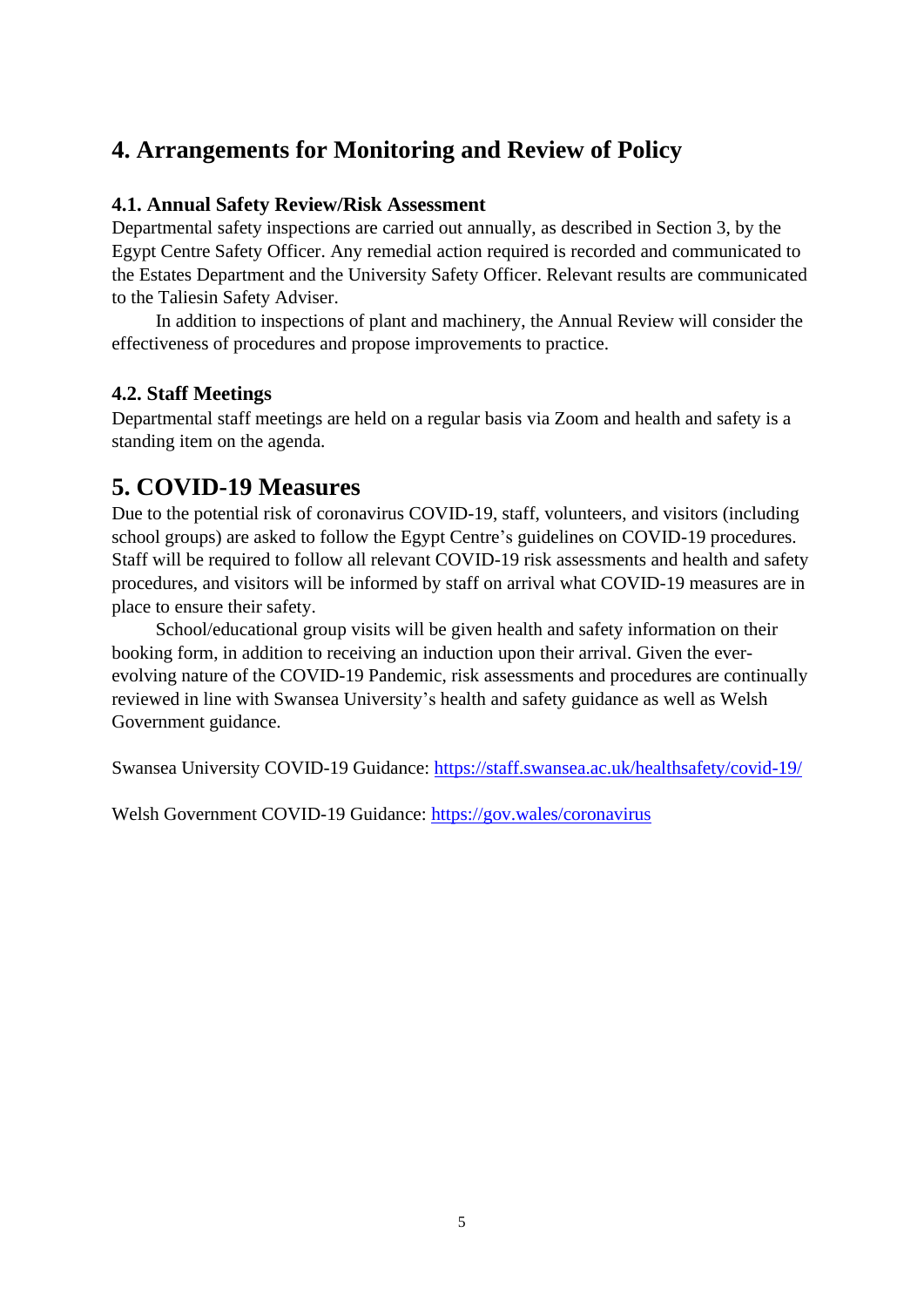# **4. Arrangements for Monitoring and Review of Policy**

### **4.1. Annual Safety Review/Risk Assessment**

Departmental safety inspections are carried out annually, as described in Section 3, by the Egypt Centre Safety Officer. Any remedial action required is recorded and communicated to the Estates Department and the University Safety Officer. Relevant results are communicated to the Taliesin Safety Adviser.

In addition to inspections of plant and machinery, the Annual Review will consider the effectiveness of procedures and propose improvements to practice.

# **4.2. Staff Meetings**

Departmental staff meetings are held on a regular basis via Zoom and health and safety is a standing item on the agenda.

# **5. COVID-19 Measures**

Due to the potential risk of coronavirus COVID-19, staff, volunteers, and visitors (including school groups) are asked to follow the Egypt Centre's guidelines on COVID-19 procedures. Staff will be required to follow all relevant COVID-19 risk assessments and health and safety procedures, and visitors will be informed by staff on arrival what COVID-19 measures are in place to ensure their safety.

School/educational group visits will be given health and safety information on their booking form, in addition to receiving an induction upon their arrival. Given the everevolving nature of the COVID-19 Pandemic, risk assessments and procedures are continually reviewed in line with Swansea University's health and safety guidance as well as Welsh Government guidance.

Swansea University COVID-19 Guidance:<https://staff.swansea.ac.uk/healthsafety/covid-19/>

Welsh Government COVID-19 Guidance:<https://gov.wales/coronavirus>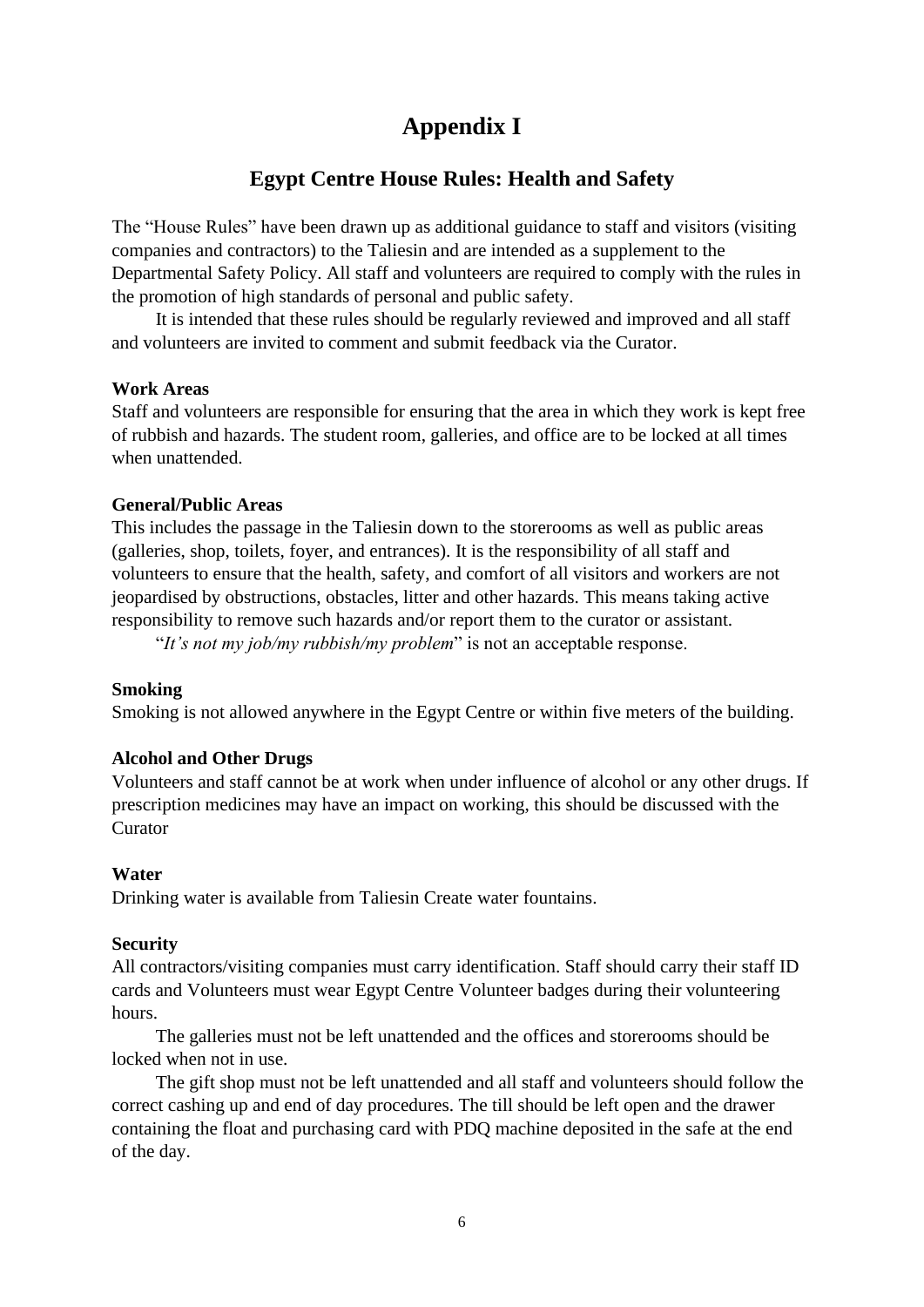# **Appendix I**

# **Egypt Centre House Rules: Health and Safety**

The "House Rules" have been drawn up as additional guidance to staff and visitors (visiting companies and contractors) to the Taliesin and are intended as a supplement to the Departmental Safety Policy. All staff and volunteers are required to comply with the rules in the promotion of high standards of personal and public safety.

It is intended that these rules should be regularly reviewed and improved and all staff and volunteers are invited to comment and submit feedback via the Curator.

#### **Work Areas**

Staff and volunteers are responsible for ensuring that the area in which they work is kept free of rubbish and hazards. The student room, galleries, and office are to be locked at all times when unattended.

#### **General/Public Areas**

This includes the passage in the Taliesin down to the storerooms as well as public areas (galleries, shop, toilets, foyer, and entrances). It is the responsibility of all staff and volunteers to ensure that the health, safety, and comfort of all visitors and workers are not jeopardised by obstructions, obstacles, litter and other hazards. This means taking active responsibility to remove such hazards and/or report them to the curator or assistant.

"*It's not my job/my rubbish/my problem*" is not an acceptable response.

### **Smoking**

Smoking is not allowed anywhere in the Egypt Centre or within five meters of the building.

### **Alcohol and Other Drugs**

Volunteers and staff cannot be at work when under influence of alcohol or any other drugs. If prescription medicines may have an impact on working, this should be discussed with the Curator

### **Water**

Drinking water is available from Taliesin Create water fountains.

#### **Security**

All contractors/visiting companies must carry identification. Staff should carry their staff ID cards and Volunteers must wear Egypt Centre Volunteer badges during their volunteering hours.

The galleries must not be left unattended and the offices and storerooms should be locked when not in use.

The gift shop must not be left unattended and all staff and volunteers should follow the correct cashing up and end of day procedures. The till should be left open and the drawer containing the float and purchasing card with PDQ machine deposited in the safe at the end of the day.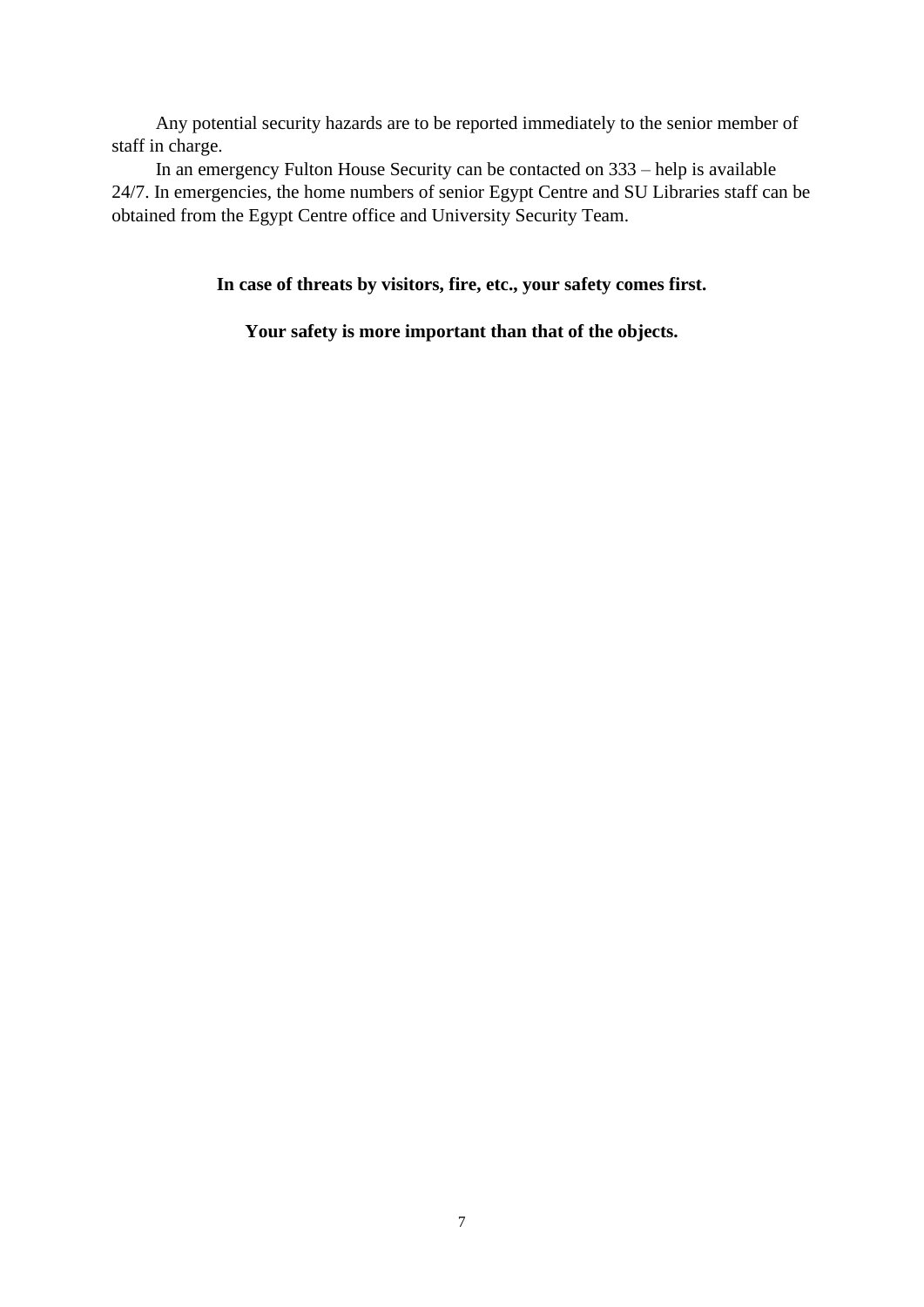Any potential security hazards are to be reported immediately to the senior member of staff in charge.

In an emergency Fulton House Security can be contacted on 333 – help is available 24/7. In emergencies, the home numbers of senior Egypt Centre and SU Libraries staff can be obtained from the Egypt Centre office and University Security Team.

**In case of threats by visitors, fire, etc., your safety comes first.** 

**Your safety is more important than that of the objects.**